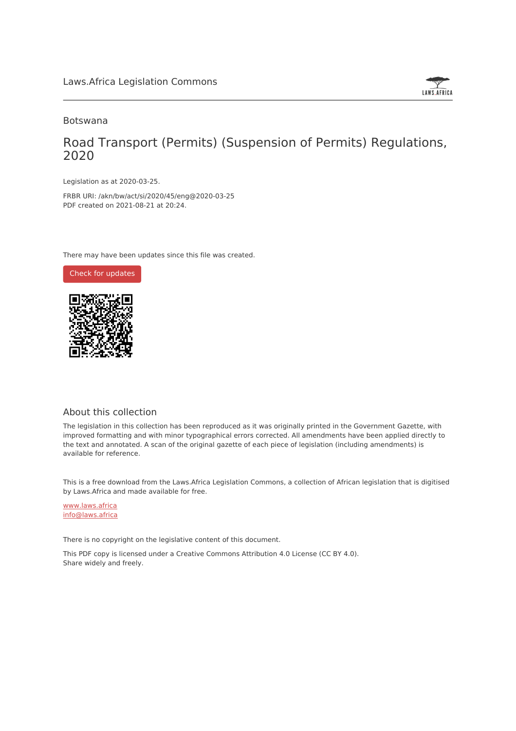

## Botswana

## Road Transport (Permits) (Suspension of Permits) Regulations, 2020

Legislation as at 2020-03-25.

FRBR URI: /akn/bw/act/si/2020/45/eng@2020-03-25 PDF created on 2021-08-21 at 20:24.

There may have been updates since this file was created.



## About this collection

The legislation in this collection has been reproduced as it was originally printed in the Government Gazette, with improved formatting and with minor typographical errors corrected. All amendments have been applied directly to the text and annotated. A scan of the original gazette of each piece of legislation (including amendments) is available for reference.

This is a free download from the Laws.Africa Legislation Commons, a collection of African legislation that is digitised by Laws.Africa and made available for free.

[www.laws.africa](https://www.laws.africa) [info@laws.africa](mailto:info@laws.africa)

There is no copyright on the legislative content of this document.

This PDF copy is licensed under a Creative Commons Attribution 4.0 License (CC BY 4.0). Share widely and freely.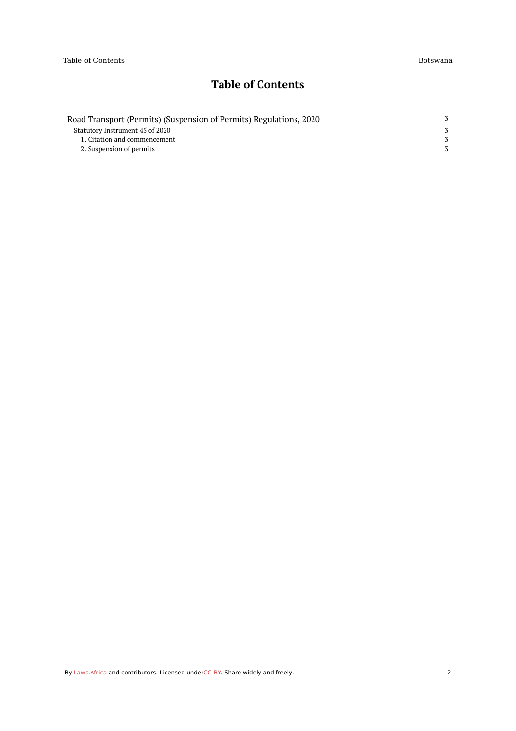## **Table of Contents**

| Road Transport (Permits) (Suspension of Permits) Regulations, 2020 |  |
|--------------------------------------------------------------------|--|
| Statutory Instrument 45 of 2020                                    |  |
| 1. Citation and commencement                                       |  |
| 2. Suspension of permits                                           |  |